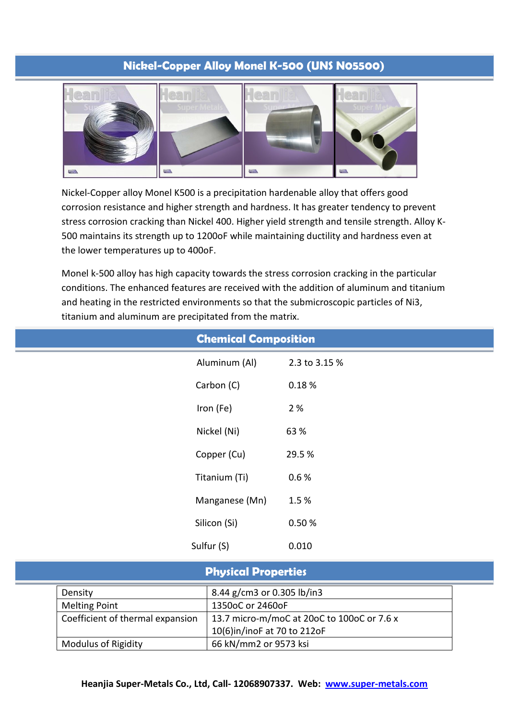# **Nickel-Copper Alloy Monel K-500 (UNS N05500)**



Nickel-Copper alloy Monel K500 is a precipitation hardenable alloy that offers good corrosion resistance and higher strength and hardness. It has greater tendency to prevent stress corrosion cracking than Nickel 400. Higher yield strength and tensile strength. Alloy K-500 maintains its strength up to 1200oF while maintaining ductility and hardness even at the lower temperatures up to 400oF.

Monel k-500 alloy has high capacity towards the stress corrosion cracking in the particular conditions. The enhanced features are received with the addition of aluminum and titanium and heating in the restricted environments so that the submicroscopic particles of Ni3, titanium and aluminum are precipitated from the matrix.

|            | <b>Chemical Composition</b> |               |  |
|------------|-----------------------------|---------------|--|
|            | Aluminum (Al)               | 2.3 to 3.15 % |  |
|            | Carbon (C)                  | 0.18%         |  |
| Iron (Fe)  |                             | 2 %           |  |
|            | Nickel (Ni)                 | 63 %          |  |
|            | Copper (Cu)                 | 29.5%         |  |
|            | Titanium (Ti)               | 0.6%          |  |
|            | Manganese (Mn)              | 1.5%          |  |
|            | Silicon (Si)                | 0.50 %        |  |
| Sulfur (S) |                             | 0.010         |  |

|  | <b>Physical Properties</b> |  |
|--|----------------------------|--|
|  |                            |  |

| Density                          | 8.44 g/cm3 or 0.305 lb/in3                 |
|----------------------------------|--------------------------------------------|
| <b>Melting Point</b>             | 1350oC or 2460oF                           |
| Coefficient of thermal expansion | 13.7 micro-m/moC at 20oC to 100oC or 7.6 x |
|                                  | 10(6)in/inoF at 70 to 212oF                |
| <b>Modulus of Rigidity</b>       | 66 kN/mm2 or 9573 ksi                      |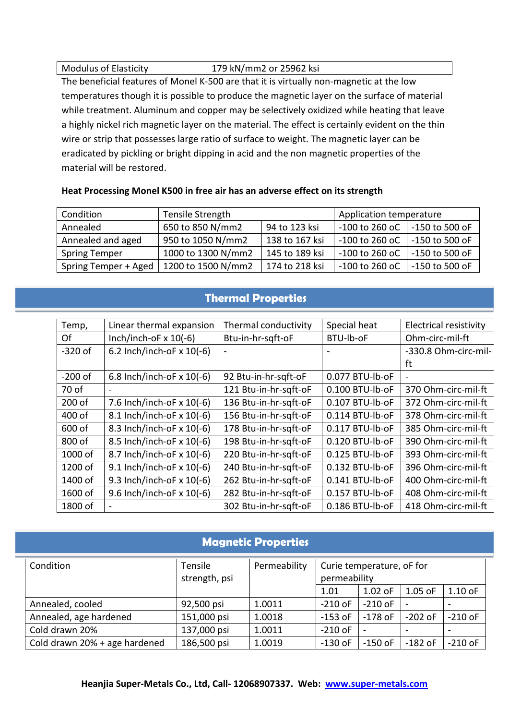| <b>Modulus of Elasticity</b> | 179 kN/mm2 or 25962 ksi |
|------------------------------|-------------------------|
|------------------------------|-------------------------|

The beneficial features of Monel K-500 are that it is virtually non-magnetic at the low temperatures though it is possible to produce the magnetic layer on the surface of material while treatment. Aluminum and copper may be selectively oxidized while heating that leave a highly nickel rich magnetic layer on the material. The effect is certainly evident on the thin wire or strip that possesses large ratio of surface to weight. The magnetic layer can be eradicated by pickling or bright dipping in acid and the non magnetic properties of the material will be restored.

| Condition            | Tensile Strength   |                | Application temperature |                  |
|----------------------|--------------------|----------------|-------------------------|------------------|
| Annealed             | 650 to 850 N/mm2   | 94 to 123 ksi  | $-100$ to 260 oC        | -150 to 500 oF   |
| Annealed and aged    | 950 to 1050 N/mm2  | 138 to 167 ksi | $-100$ to 260 oC        | -150 to 500 oF   |
| <b>Spring Temper</b> | 1000 to 1300 N/mm2 | 145 to 189 ksi | $-100$ to 260 oC        | -150 to 500 oF   |
| Spring Temper + Aged | 1200 to 1500 N/mm2 | 174 to 218 ksi | $-100$ to 260 oC        | $-150$ to 500 oF |

### **Heat Processing Monel K500 in free air has an adverse effect on its strength**

## **Thermal Properties**

| Temp,     | Linear thermal expansion    | Thermal conductivity  | Special heat      | <b>Electrical resistivity</b> |
|-----------|-----------------------------|-----------------------|-------------------|-------------------------------|
| Of        | Inch/inch-oF $x 10(-6)$     | Btu-in-hr-sgft-oF     | BTU-lb-oF         | Ohm-circ-mil-ft               |
| $-320$ of | 6.2 Inch/inch-oF $x 10(-6)$ |                       |                   | -330.8 Ohm-circ-mil-          |
|           |                             |                       |                   | ft                            |
| $-200$ of | 6.8 Inch/inch-oF $x 10(-6)$ | 92 Btu-in-hr-sgft-oF  | 0.077 BTU-lb-oF   |                               |
| 70 of     | $\overline{\phantom{a}}$    | 121 Btu-in-hr-sqft-oF | 0.100 BTU-lb-oF   | 370 Ohm-circ-mil-ft           |
| 200 of    | 7.6 Inch/inch-oF $x$ 10(-6) | 136 Btu-in-hr-sgft-oF | 0.107 BTU-lb-oF   | 372 Ohm-circ-mil-ft           |
| 400 of    | 8.1 Inch/inch-oF x 10(-6)   | 156 Btu-in-hr-sgft-oF | $0.114$ BTU-lb-oF | 378 Ohm-circ-mil-ft           |
| 600 of    | 8.3 Inch/inch-oF x 10(-6)   | 178 Btu-in-hr-sqft-oF | 0.117 BTU-lb-oF   | 385 Ohm-circ-mil-ft           |
| 800 of    | 8.5 Inch/inch-oF x 10(-6)   | 198 Btu-in-hr-sgft-oF | $0.120$ BTU-lb-oF | 390 Ohm-circ-mil-ft           |
| $1000$ of | 8.7 Inch/inch-oF x 10(-6)   | 220 Btu-in-hr-sqft-oF | $0.125$ BTU-lb-oF | 393 Ohm-circ-mil-ft           |
| 1200 of   | 9.1 Inch/inch-oF x 10(-6)   | 240 Btu-in-hr-sgft-oF | 0.132 BTU-lb-oF   | 396 Ohm-circ-mil-ft           |
| 1400 of   | 9.3 Inch/inch-oF x 10(-6)   | 262 Btu-in-hr-sgft-oF | 0.141 BTU-lb-oF   | 400 Ohm-circ-mil-ft           |
| 1600 of   | 9.6 Inch/inch-oF x 10(-6)   | 282 Btu-in-hr-sqft-oF | 0.157 BTU-lb-oF   | 408 Ohm-circ-mil-ft           |
| 1800 of   | $\sim$                      | 302 Btu-in-hr-sgft-oF | 0.186 BTU-lb-oF   | 418 Ohm-circ-mil-ft           |

# **Magnetic Properties**

| Condition                     | Tensile<br>strength, psi | Permeability | Curie temperature, oF for<br>permeability |           |           |                 |
|-------------------------------|--------------------------|--------------|-------------------------------------------|-----------|-----------|-----------------|
|                               |                          |              | 1.01                                      | $1.02$ oF | $1.05$ oF | $1.10$ oF       |
| Annealed, cooled              | 92,500 psi               | 1.0011       | $-210$ oF                                 | $-210$ oF |           | $\qquad \qquad$ |
| Annealed, age hardened        | 151,000 psi              | 1.0018       | $-153$ oF                                 | $-178$ oF | $-202$ oF | $-210$ oF       |
| Cold drawn 20%                | 137,000 psi              | 1.0011       | $-210$ oF                                 |           |           |                 |
| Cold drawn 20% + age hardened | 186,500 psi              | 1.0019       | $-130$ oF                                 | $-150$ oF | $-182$ oF | $-210$ oF       |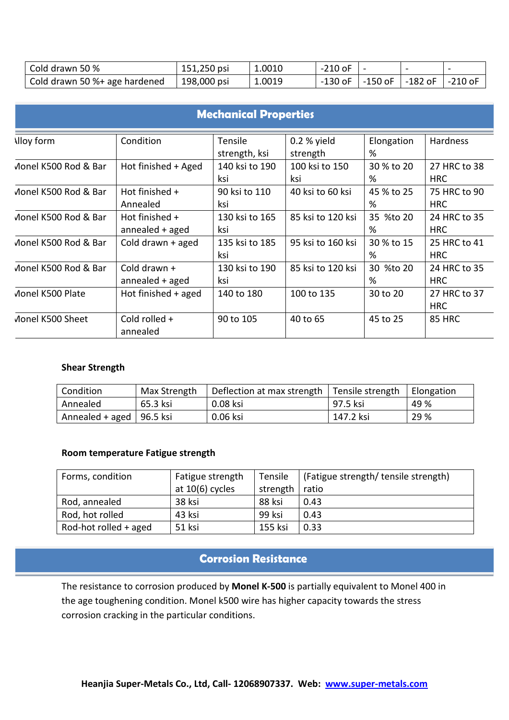| Cold drawn 50 %               | 151,250 psi | 1.0010 | $-210$ oF |                |         |         |
|-------------------------------|-------------|--------|-----------|----------------|---------|---------|
| Cold drawn 50 %+ age hardened | 198,000 psi | 1.0019 | -130 oF   | $-150$ oF $\,$ | -182 oF | -210 oF |

| <b>Mechanical Properties</b> |                       |                |                   |            |               |  |  |
|------------------------------|-----------------------|----------------|-------------------|------------|---------------|--|--|
| <b>Alloy form</b>            | Condition             | Tensile        | $0.2 %$ yield     | Elongation | Hardness      |  |  |
|                              |                       | strength, ksi  | strength          | %          |               |  |  |
| Monel K500 Rod & Bar         | Hot finished + Aged   | 140 ksi to 190 | 100 ksi to 150    | 30 % to 20 | 27 HRC to 38  |  |  |
|                              |                       | ksi            | ksi               | %          | <b>HRC</b>    |  |  |
| Monel K500 Rod & Bar         | Hot finished +        | 90 ksi to 110  | 40 ksi to 60 ksi  | 45 % to 25 | 75 HRC to 90  |  |  |
|                              | Annealed              | ksi            |                   | %          | <b>HRC</b>    |  |  |
| Monel K500 Rod & Bar         | Hot finished +        | 130 ksi to 165 | 85 ksi to 120 ksi | 35 %to 20  | 24 HRC to 35  |  |  |
|                              | annealed + aged       | ksi            |                   | %          | <b>HRC</b>    |  |  |
| Monel K500 Rod & Bar         | Cold drawn + aged     | 135 ksi to 185 | 95 ksi to 160 ksi | 30 % to 15 | 25 HRC to 41  |  |  |
|                              |                       | ksi            |                   | %          | <b>HRC</b>    |  |  |
| Monel K500 Rod & Bar         | Cold drawn +          | 130 ksi to 190 | 85 ksi to 120 ksi | 30 %to 20  | 24 HRC to 35  |  |  |
|                              | annealed + aged       | ksi            |                   | %          | <b>HRC</b>    |  |  |
| Monel K500 Plate             | Hot finished $+$ aged | 140 to 180     | 100 to 135        | 30 to 20   | 27 HRC to 37  |  |  |
|                              |                       |                |                   |            | <b>HRC</b>    |  |  |
| Monel K500 Sheet             | Cold rolled +         | 90 to 105      | 40 to 65          | 45 to 25   | <b>85 HRC</b> |  |  |
|                              | annealed              |                |                   |            |               |  |  |

#### **Shear Strength**

| Condition                  | Max Strength | Deflection at max strength   Tensile strength |           | Elongation |
|----------------------------|--------------|-----------------------------------------------|-----------|------------|
| Annealed                   | 65.3 ksi     | 0.08 ksi                                      | 97.5 ksi  | 49 %       |
| Annealed + aged   96.5 ksi |              | 0.06 ksi                                      | 147.2 ksi | 29 %       |

#### **Room temperature Fatigue strength**

| Forms, condition      | Fatigue strength  | Tensile  | (Fatigue strength/ tensile strength) |
|-----------------------|-------------------|----------|--------------------------------------|
|                       | at $10(6)$ cycles | strength | ratio                                |
| Rod, annealed         | 38 ksi            | 88 ksi   | 0.43                                 |
| Rod, hot rolled       | 43 ksi            | 99 ksi   | 0.43                                 |
| Rod-hot rolled + aged | 51 ksi            | 155 ksi  | 0.33                                 |

# **Corrosion Resistance**

The resistance to corrosion produced by **Monel K-500** is partially equivalent to Monel 400 in the age toughening condition. Monel k500 wire has higher capacity towards the stress corrosion cracking in the particular conditions.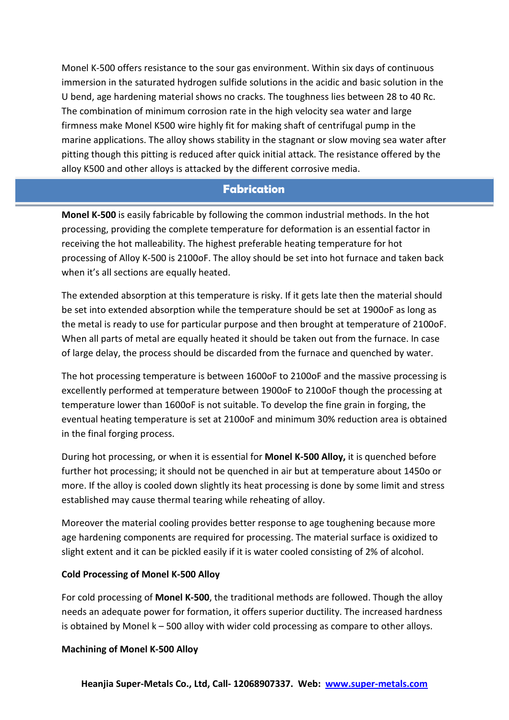Monel K-500 offers resistance to the sour gas environment. Within six days of continuous immersion in the saturated hydrogen sulfide solutions in the acidic and basic solution in the U bend, age hardening material shows no cracks. The toughness lies between 28 to 40 Rc. The combination of minimum corrosion rate in the high velocity sea water and large firmness make Monel K500 wire highly fit for making shaft of centrifugal pump in the marine applications. The alloy shows stability in the stagnant or slow moving sea water after pitting though this pitting is reduced after quick initial attack. The resistance offered by the alloy K500 and other alloys is attacked by the different corrosive media.

### **Fabrication**

**Monel K-500** is easily fabricable by following the common industrial methods. In the hot processing, providing the complete temperature for deformation is an essential factor in receiving the hot malleability. The highest preferable heating temperature for hot processing of Alloy K-500 is 2100oF. The alloy should be set into hot furnace and taken back when it's all sections are equally heated.

The extended absorption at this temperature is risky. If it gets late then the material should be set into extended absorption while the temperature should be set at 1900oF as long as the metal is ready to use for particular purpose and then brought at temperature of 2100oF. When all parts of metal are equally heated it should be taken out from the furnace. In case of large delay, the process should be discarded from the furnace and quenched by water.

The hot processing temperature is between 1600oF to 2100oF and the massive processing is excellently performed at temperature between 1900oF to 2100oF though the processing at temperature lower than 1600oF is not suitable. To develop the fine grain in forging, the eventual heating temperature is set at 2100oF and minimum 30% reduction area is obtained in the final forging process.

During hot processing, or when it is essential for **Monel K-500 Alloy,** it is quenched before further hot processing; it should not be quenched in air but at temperature about 1450o or more. If the alloy is cooled down slightly its heat processing is done by some limit and stress established may cause thermal tearing while reheating of alloy.

Moreover the material cooling provides better response to age toughening because more age hardening components are required for processing. The material surface is oxidized to slight extent and it can be pickled easily if it is water cooled consisting of 2% of alcohol.

### **Cold Processing of Monel K-500 Alloy**

For cold processing of **Monel K-500**, the traditional methods are followed. Though the alloy needs an adequate power for formation, it offers superior ductility. The increased hardness is obtained by Monel k – 500 alloy with wider cold processing as compare to other alloys.

### **Machining of Monel K-500 Alloy**